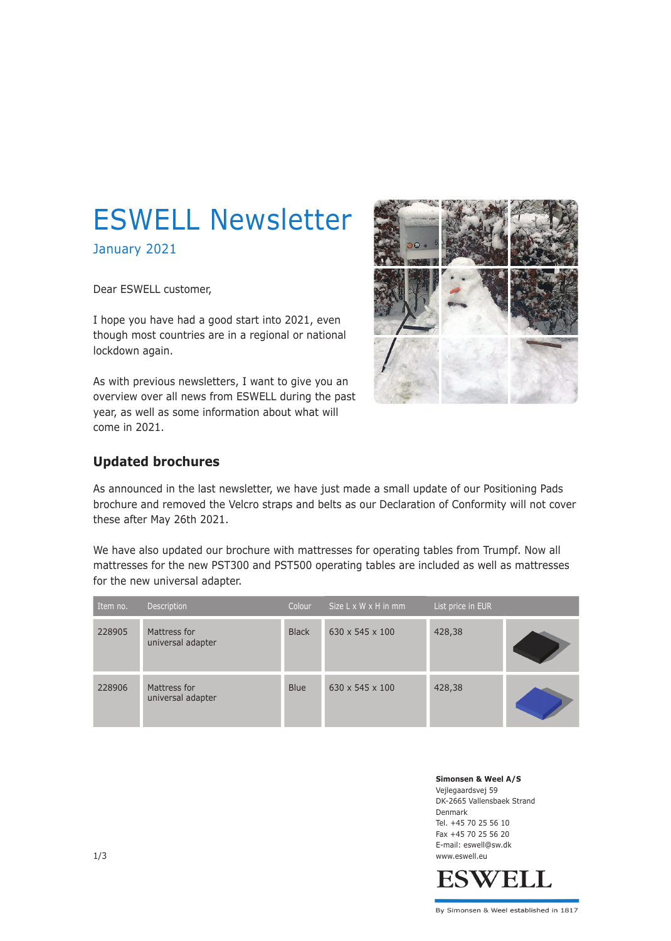# ESWELL Newsletter

January 2021

Dear ESWELL customer,

I hope you have had a good start into 2021, even though most countries are in a regional or national lockdown again.

As with previous newsletters, I want to give you an overview over all news from ESWELL during the past year, as well as some information about what will come in 2021.



### **Updated brochures**

As announced in the last newsletter, we have just made a small update of our Positioning Pads brochure and removed the Velcro straps and belts as our Declaration of Conformity will not cover these after May 26th 2021.

We have also updated our brochure with mattresses for operating tables from Trumpf. Now all mattresses for the new PST300 and PST500 operating tables are included as well as mattresses for the new universal adapter.

| Item no. | Description                       | Colour       | Size $L \times W \times H$ in mm | List price in EUR |  |
|----------|-----------------------------------|--------------|----------------------------------|-------------------|--|
| 228905   | Mattress for<br>universal adapter | <b>Black</b> | $630 \times 545 \times 100$      | 428,38            |  |
| 228906   | Mattress for<br>universal adapter | <b>Blue</b>  | $630 \times 545 \times 100$      | 428,38            |  |

**Simonsen & Weel A/S** Vejlegaardsvej 59 DK-2665 Vallensbaek Strand Denmark Tel. +45 70 25 56 10 Fax +45 70 25 56 20 E-mail: eswell@sw.dk 1/3 www.eswell.eu

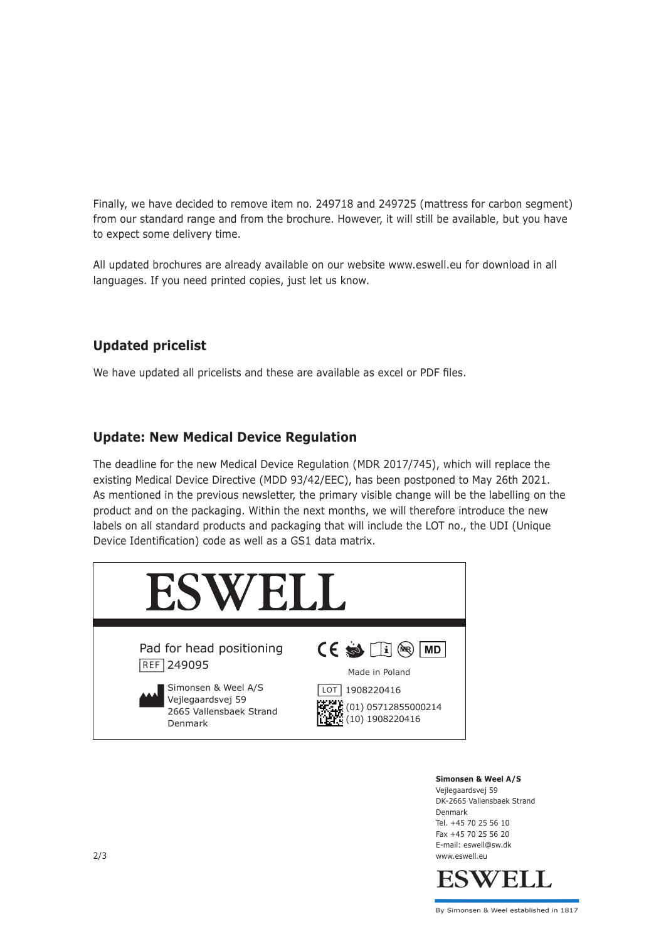Finally, we have decided to remove item no. 249718 and 249725 (mattress for carbon segment) from our standard range and from the brochure. However, it will still be available, but you have to expect some delivery time.

All updated brochures are already available on our website www.eswell.eu for download in all languages. If you need printed copies, just let us know.

## **Updated pricelist**

We have updated all pricelists and these are available as excel or PDF files.

### **Update: New Medical Device Regulation**

The deadline for the new Medical Device Regulation (MDR 2017/745), which will replace the existing Medical Device Directive (MDD 93/42/EEC), has been postponed to May 26th 2021. As mentioned in the previous newsletter, the primary visible change will be the labelling on the product and on the packaging. Within the next months, we will therefore introduce the new labels on all standard products and packaging that will include the LOT no., the UDI (Unique Device Identification) code as well as a GS1 data matrix.



#### **Simonsen & Weel A/S**

Vejlegaardsvej 59 DK-2665 Vallensbaek Strand Denmark Tel. +45 70 25 56 10 Fax +45 70 25 56 20 E-mail: eswell@sw.dk 2/3 www.eswell.eu